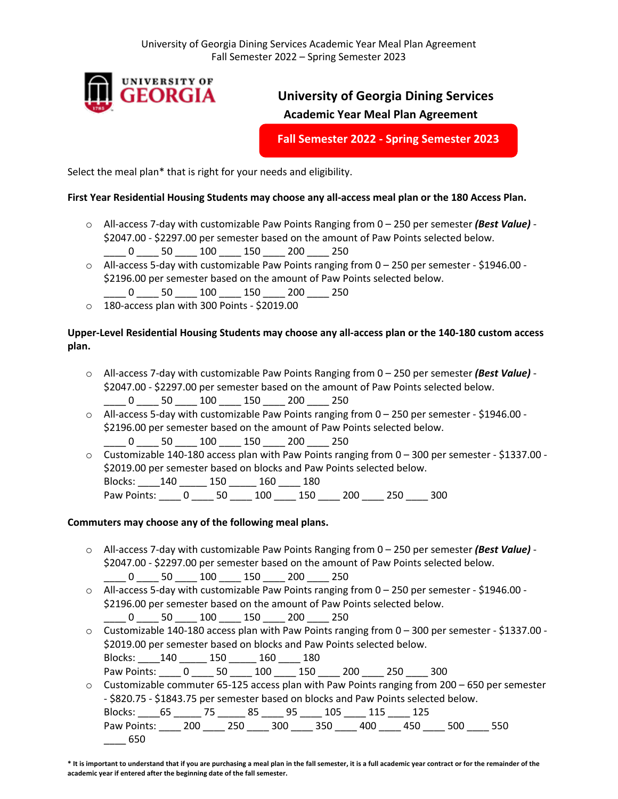

# **University of Georgia Dining Services Academic Year Meal Plan Agreement**

**Fall Semester 2022 - Spring Semester 2023**

Select the meal plan\* that is right for your needs and eligibility.

## **First Year Residential Housing Students may choose any all-access meal plan or the 180 Access Plan.**

- o All-access 7-day with customizable Paw Points Ranging from 0 250 per semester *(Best Value)* \$2047.00 - \$2297.00 per semester based on the amount of Paw Points selected below. \_\_\_\_ 0 \_\_\_\_ 50 \_\_\_\_ 100 \_\_\_\_ 150 \_\_\_\_ 200 \_\_\_\_ 250
- $\circ$  All-access 5-day with customizable Paw Points ranging from 0 250 per semester \$1946.00 -\$2196.00 per semester based on the amount of Paw Points selected below.
- \_\_\_\_ 0 \_\_\_\_ 50 \_\_\_\_ 100 \_\_\_\_ 150 \_\_\_\_ 200 \_\_\_\_ 250
- o 180-access plan with 300 Points \$2019.00

## **Upper-Level Residential Housing Students may choose any all-access plan or the 140-180 custom access plan.**

- o All-access 7-day with customizable Paw Points Ranging from 0 250 per semester *(Best Value)*  \$2047.00 - \$2297.00 per semester based on the amount of Paw Points selected below. \_\_\_\_ 0 \_\_\_\_ 50 \_\_\_\_ 100 \_\_\_\_ 150 \_\_\_\_ 200 \_\_\_\_ 250
- $\circ$  All-access 5-day with customizable Paw Points ranging from 0 250 per semester \$1946.00 -\$2196.00 per semester based on the amount of Paw Points selected below. 0 50 100 150 200 250
- $\circ$  Customizable 140-180 access plan with Paw Points ranging from 0 300 per semester \$1337.00 -\$2019.00 per semester based on blocks and Paw Points selected below. Blocks: \_\_\_\_140 \_\_\_\_\_ 150 \_\_\_\_\_ 160 \_\_\_\_ 180 Paw Points: \_\_\_\_ 0 \_\_\_\_ 50 \_\_\_\_ 100 \_\_\_\_ 150 \_\_\_\_ 200 \_\_\_\_ 250 \_\_\_ 300

### **Commuters may choose any of the following meal plans.**

- o All-access 7-day with customizable Paw Points Ranging from 0 250 per semester *(Best Value)*  \$2047.00 - \$2297.00 per semester based on the amount of Paw Points selected below. \_\_\_\_ 0 \_\_\_\_ 50 \_\_\_\_ 100 \_\_\_\_ 150 \_\_\_\_ 200 \_\_\_\_ 250
- $\circ$  All-access 5-day with customizable Paw Points ranging from 0 250 per semester \$1946.00 -\$2196.00 per semester based on the amount of Paw Points selected below. \_\_\_\_ 0 \_\_\_\_ 50 \_\_\_\_ 100 \_\_\_\_ 150 \_\_\_\_ 200 \_\_\_\_ 250
- $\circ$  Customizable 140-180 access plan with Paw Points ranging from 0 300 per semester \$1337.00 -\$2019.00 per semester based on blocks and Paw Points selected below.

Blocks: \_\_\_\_140 \_\_\_\_\_ 150 \_\_\_\_\_ 160 \_\_\_\_ 180 Paw Points: 0 \_\_\_\_ 50 \_\_\_\_ 100 \_\_\_\_ 150 \_\_\_\_ 200 \_\_\_\_ 250 \_\_\_\_ 300

 $\circ$  Customizable commuter 65-125 access plan with Paw Points ranging from 200 – 650 per semester - \$820.75 - \$1843.75 per semester based on blocks and Paw Points selected below.

| Blocks: 65 75 85 95 105 115 125             |  |  |  |  |  |
|---------------------------------------------|--|--|--|--|--|
| Paw Points: 200 250 300 350 400 450 500 550 |  |  |  |  |  |
| $\sim$ 650                                  |  |  |  |  |  |

**<sup>\*</sup> It is important to understand that if you are purchasing a meal plan in the fall semester, it is a full academic year contract or for the remainder of the academic year if entered after the beginning date of the fall semester.**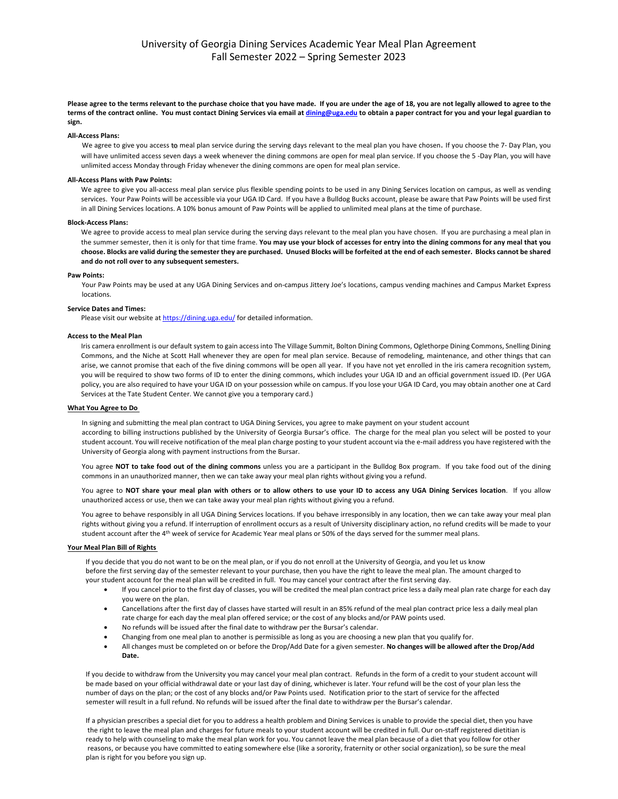**Please agree to the terms relevant to the purchase choice that you have made. If you are under the age of 18, you are not legally allowed to agree to the terms of the contract online. You must contact Dining Services via email at dining@uga.edu to obtain a paper contract for you and your legal guardian to sign.**

#### **All-Access Plans:**

We agree to give you access to meal plan service during the serving days relevant to the meal plan you have chosen. If you choose the 7- Day Plan, you will have unlimited access seven days a week whenever the dining commons are open for meal plan service. If you choose the 5 -Day Plan, you will have unlimited access Monday through Friday whenever the dining commons are open for meal plan service.

### **All-Access Plans with Paw Points:**

We agree to give you all-access meal plan service plus flexible spending points to be used in any Dining Services location on campus, as well as vending services. Your Paw Points will be accessible via your UGA ID Card. If you have a Bulldog Bucks account, please be aware that Paw Points will be used first in all Dining Services locations. A 10% bonus amount of Paw Points will be applied to unlimited meal plans at the time of purchase.

#### **Block-Access Plans:**

We agree to provide access to meal plan service during the serving days relevant to the meal plan you have chosen. If you are purchasing a meal plan in the summer semester, then it is only for that time frame. **You may use your block of accesses for entry into the dining commons for any meal that you choose. Blocks are valid during the semester they are purchased. Unused Blocks will be forfeited at the end of each semester. Blocks cannot be shared and do not roll over to any subsequent semesters.** 

#### **Paw Points:**

Your Paw Points may be used at any UGA Dining Services and on-campus Jittery Joe's locations, campus vending machines and Campus Market Express locations.

#### **Service Dates and Times:**

Please visit our website at https://dining.uga.edu/ for detailed information.

#### **Access to the Meal Plan**

Iris camera enrollment is our default system to gain access into The Village Summit, Bolton Dining Commons, Oglethorpe Dining Commons, Snelling Dining Commons, and the Niche at Scott Hall whenever they are open for meal plan service. Because of remodeling, maintenance, and other things that can arise, we cannot promise that each of the five dining commons will be open all year. If you have not yet enrolled in the iris camera recognition system, you will be required to show two forms of ID to enter the dining commons, which includes your UGA ID and an official government issued ID. (Per UGA policy, you are also required to have your UGA ID on your possession while on campus. If you lose your UGA ID Card, you may obtain another one at Card Services at the Tate Student Center. We cannot give you a temporary card.)

#### **What You Agree to Do**

In signing and submitting the meal plan contract to UGA Dining Services, you agree to make payment on your student account according to billing instructions published by the University of Georgia Bursar's office. The charge for the meal plan you select will be posted to your student account. You will receive notification of the meal plan charge posting to your student account via the e-mail address you have registered with the University of Georgia along with payment instructions from the Bursar.

You agree **NOT to take food out of the dining commons** unless you are a participant in the Bulldog Box program. If you take food out of the dining commons in an unauthorized manner, then we can take away your meal plan rights without giving you a refund.

You agree to **NOT share your meal plan with others or to allow others to use your ID to access any UGA Dining Services location**. If you allow unauthorized access or use, then we can take away your meal plan rights without giving you a refund.

You agree to behave responsibly in all UGA Dining Services locations. If you behave irresponsibly in any location, then we can take away your meal plan rights without giving you a refund. If interruption of enrollment occurs as a result of University disciplinary action, no refund credits will be made to your student account after the 4th week of service for Academic Year meal plans or 50% of the days served for the summer meal plans.

### **Your Meal Plan Bill of Rights**

If you decide that you do not want to be on the meal plan, or if you do not enroll at the University of Georgia, and you let us know before the first serving day of the semester relevant to your purchase, then you have the right to leave the meal plan. The amount charged to your student account for the meal plan will be credited in full. You may cancel your contract after the first serving day.

- If you cancel prior to the first day of classes, you will be credited the meal plan contract price less a daily meal plan rate charge for each day you were on the plan.
- Cancellations after the first day of classes have started will result in an 85% refund of the meal plan contract price less a daily meal plan rate charge for each day the meal plan offered service; or the cost of any blocks and/or PAW points used.
- No refunds will be issued after the final date to withdraw per the Bursar's calendar.
- Changing from one meal plan to another is permissible as long as you are choosing a new plan that you qualify for.
- All changes must be completed on or before the Drop/Add Date for a given semester. **No changes will be allowed after the Drop/Add Date.**

 If you decide to withdraw from the University you may cancel your meal plan contract. Refunds in the form of a credit to your student account will be made based on your official withdrawal date or your last day of dining, whichever is later. Your refund will be the cost of your plan less the number of days on the plan; or the cost of any blocks and/or Paw Points used. Notification prior to the start of service for the affected semester will result in a full refund. No refunds will be issued after the final date to withdraw per the Bursar's calendar.

 If a physician prescribes a special diet for you to address a health problem and Dining Services is unable to provide the special diet, then you have the right to leave the meal plan and charges for future meals to your student account will be credited in full. Our on-staff registered dietitian is ready to help with counseling to make the meal plan work for you. You cannot leave the meal plan because of a diet that you follow for other reasons, or because you have committed to eating somewhere else (like a sorority, fraternity or other social organization), so be sure the meal plan is right for you before you sign up.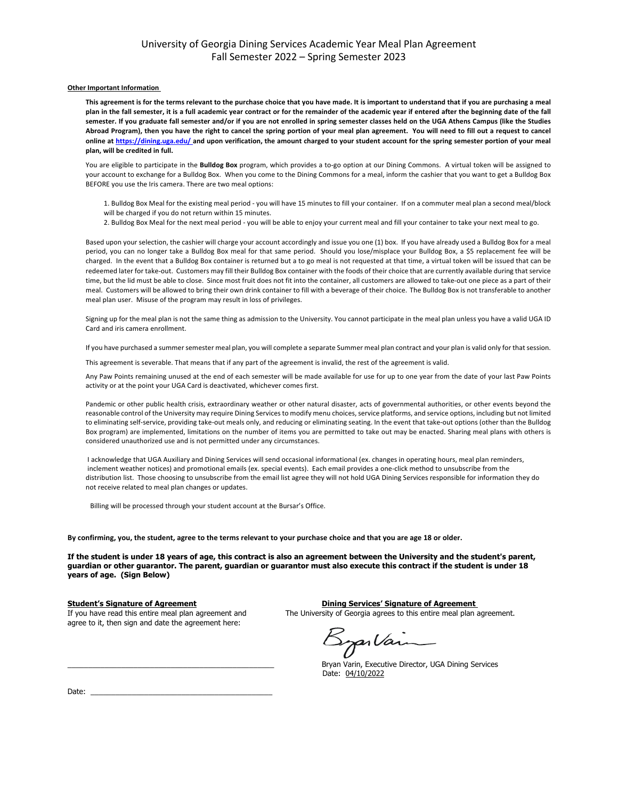### University of Georgia Dining Services Academic Year Meal Plan Agreement Fall Semester 2022 – Spring Semester 2023

#### **Other Important Information**

**This agreement is for the terms relevant to the purchase choice that you have made. It is important to understand that if you are purchasing a meal plan in the fall semester, it is a full academic year contract or for the remainder of the academic year if entered after the beginning date of the fall semester. If you graduate fall semester and/or if you are not enrolled in spring semester classes held on the UGA Athens Campus (like the Studies Abroad Program), then you have the right to cancel the spring portion of your meal plan agreement. You will need to fill out a request to cancel online at https://dining.uga.edu/ and upon verification, the amount charged to your student account for the spring semester portion of your meal plan, will be credited in full.**

You are eligible to participate in the **Bulldog Box** program, which provides a to-go option at our Dining Commons. A virtual token will be assigned to your account to exchange for a Bulldog Box. When you come to the Dining Commons for a meal, inform the cashier that you want to get a Bulldog Box BEFORE you use the Iris camera. There are two meal options:

1. Bulldog Box Meal for the existing meal period - you will have 15 minutes to fill your container. If on a commuter meal plan a second meal/block will be charged if you do not return within 15 minutes.

2. Bulldog Box Meal for the next meal period - you will be able to enjoy your current meal and fill your container to take your next meal to go.

Based upon your selection, the cashier will charge your account accordingly and issue you one (1) box. If you have already used a Bulldog Box for a meal period, you can no longer take a Bulldog Box meal for that same period. Should you lose/misplace your Bulldog Box, a \$5 replacement fee will be charged. In the event that a Bulldog Box container is returned but a to go meal is not requested at that time, a virtual token will be issued that can be redeemed later for take-out. Customers may fill their Bulldog Box container with the foods of their choice that are currently available during that service time, but the lid must be able to close. Since most fruit does not fit into the container, all customers are allowed to take-out one piece as a part of their meal. Customers will be allowed to bring their own drink container to fill with a beverage of their choice. The Bulldog Box is not transferable to another meal plan user. Misuse of the program may result in loss of privileges.

Signing up for the meal plan is not the same thing as admission to the University. You cannot participate in the meal plan unless you have a valid UGA ID Card and iris camera enrollment.

If you have purchased a summer semester meal plan, you will complete a separate Summer meal plan contract and your plan is valid only for that session.

This agreement is severable. That means that if any part of the agreement is invalid, the rest of the agreement is valid.

Any Paw Points remaining unused at the end of each semester will be made available for use for up to one year from the date of your last Paw Points activity or at the point your UGA Card is deactivated, whichever comes first.

Pandemic or other public health crisis, extraordinary weather or other natural disaster, acts of governmental authorities, or other events beyond the reasonable control of the University may require Dining Services to modify menu choices, service platforms, and service options, including but not limited to eliminating self-service, providing take-out meals only, and reducing or eliminating seating. In the event that take-out options (other than the Bulldog Box program) are implemented, limitations on the number of items you are permitted to take out may be enacted. Sharing meal plans with others is considered unauthorized use and is not permitted under any circumstances.

 I acknowledge that UGA Auxiliary and Dining Services will send occasional informational (ex. changes in operating hours, meal plan reminders, inclement weather notices) and promotional emails (ex. special events). Each email provides a one-click method to unsubscribe from the distribution list. Those choosing to unsubscribe from the email list agree they will not hold UGA Dining Services responsible for information they do not receive related to meal plan changes or updates.

Billing will be processed through your student account at the Bursar's Office.

**By confirming, you, the student, agree to the terms relevant to your purchase choice and that you are age 18 or older.** 

**If the student is under 18 years of age, this contract is also an agreement between the University and the student's parent, guardian or other guarantor. The parent, guardian or guarantor must also execute this contract if the student is under 18 years of age. (Sign Below)**

agree to it, then sign and date the agreement here:

**Student's Signature of Agreement**<br>If you have read this entire meal plan agreement and The University of Georgia agrees to this entire meal plan a The University of Georgia agrees to this entire meal plan agreement.

Byarlain

Bryan Varin, Executive Director, UGA Dining Services Date: 04/10/2022

Date:  $\overline{\phantom{a}}$